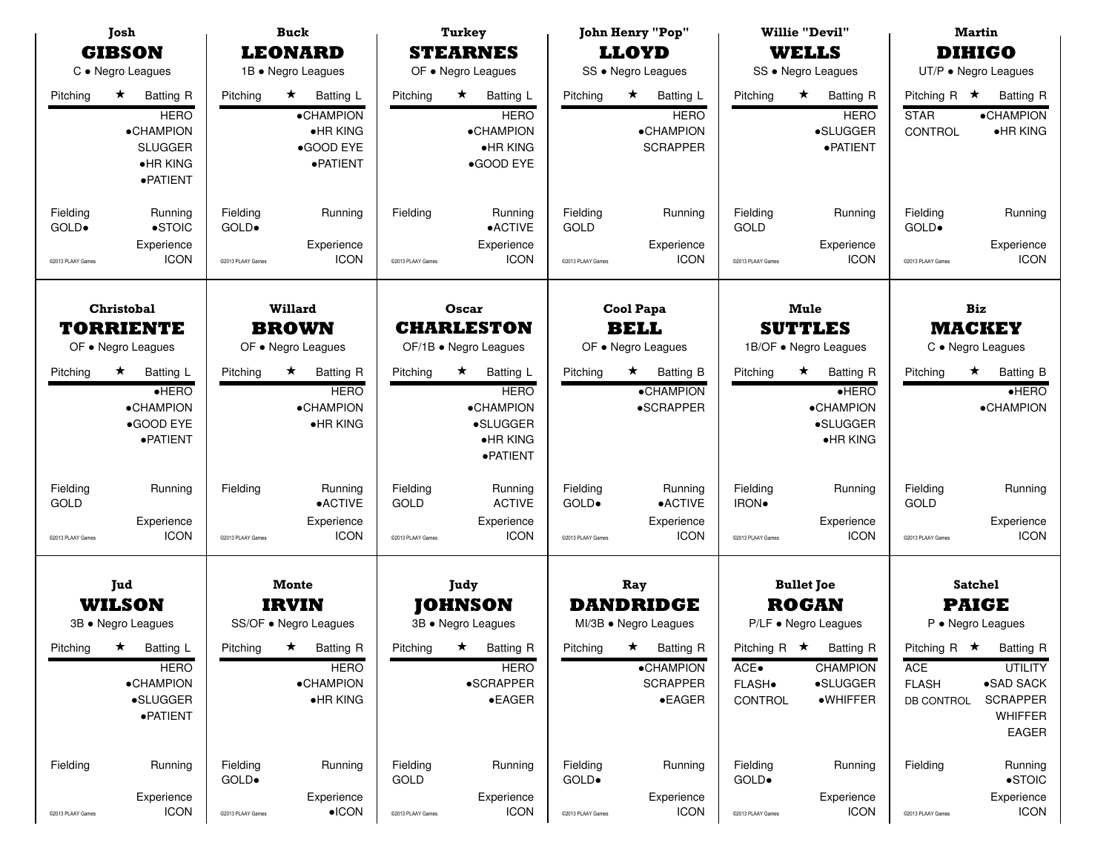| Josh<br><b>GIBSON</b><br>C • Negro Leagues |                                                                                                                    | <b>Buck</b><br><b>LEONARD</b><br>1B · Negro Leagues |                                                                                  | <b>Turkey</b><br><b>STEARNES</b><br>OF . Negro Leagues |                                                                                                  | <b>John Henry "Pop"</b><br><b>LLOYD</b><br>SS · Negro Leagues |                                                                       | <b>Willie "Devil"</b><br><b>WELLS</b><br>SS · Negro Leagues |                                                                                          | <b>Martin</b><br><b>DIHIGO</b><br>UT/P · Negro Leagues |                                                                                                    |
|--------------------------------------------|--------------------------------------------------------------------------------------------------------------------|-----------------------------------------------------|----------------------------------------------------------------------------------|--------------------------------------------------------|--------------------------------------------------------------------------------------------------|---------------------------------------------------------------|-----------------------------------------------------------------------|-------------------------------------------------------------|------------------------------------------------------------------------------------------|--------------------------------------------------------|----------------------------------------------------------------------------------------------------|
| Pitching                                   | $\star$<br><b>Batting R</b><br><b>HERO</b><br><b>•CHAMPION</b><br><b>SLUGGER</b><br>$\bullet$ HR KING<br>· PATIENT | Pitching                                            | $\star$<br>Batting L<br>•CHAMPION<br>$\bullet$ HR KING<br>●GOOD EYE<br>· PATIENT | Pitching                                               | $\star$<br><b>Batting L</b><br><b>HERO</b><br><b>•CHAMPION</b><br>$\bullet$ HR KING<br>●GOOD EYE | Pitching                                                      | $\star$<br>Batting L<br><b>HERO</b><br>•CHAMPION<br><b>SCRAPPER</b>   | Pitching                                                    | $\star$<br><b>Batting R</b><br><b>HERO</b><br>•SLUGGER<br>· PATIENT                      | Pitching R $\star$<br><b>STAR</b><br>CONTROL           | <b>Batting R</b><br><b>•CHAMPION</b><br>$\bullet$ HR KING                                          |
| Fielding<br>GOLD.<br>@2013 PLAAY Games     | Running<br>$\bullet$ STOIC<br>Experience<br><b>ICON</b>                                                            | Fielding<br>GOLD.<br>@2013 PLAAY Games              | Running<br>Experience<br><b>ICON</b>                                             | Fielding<br>@2013 PLAAY Games                          | Running<br>$\bullet$ ACTIVE<br>Experience<br><b>ICON</b>                                         | Fielding<br>GOLD<br>@2013 PLAAY Games                         | Running<br>Experience<br><b>ICON</b>                                  | Fielding<br>GOLD<br>@2013 PLAAY Games                       | Running<br>Experience<br><b>ICON</b>                                                     | Fielding<br>GOLD.<br>@2013 PLAAY Games                 | Running<br>Experience<br><b>ICON</b>                                                               |
| Christobal<br><b>TORRIENTE</b>             |                                                                                                                    | <b>Willard</b><br><b>BROWN</b>                      |                                                                                  | Oscar<br><b>CHARLESTON</b>                             |                                                                                                  | Cool Papa<br><b>BELL</b>                                      |                                                                       | <b>Mule</b><br><b>SUTTLES</b>                               |                                                                                          | <b>Biz</b><br><b>MACKEY</b>                            |                                                                                                    |
| OF . Negro Leagues                         |                                                                                                                    | OF . Negro Leagues                                  |                                                                                  | OF/1B . Negro Leagues                                  |                                                                                                  | OF . Negro Leagues                                            |                                                                       | 1B/OF . Negro Leagues                                       |                                                                                          | C · Negro Leagues                                      |                                                                                                    |
| Pitching                                   | $\star$<br>Batting L<br>$\bullet$ HERO<br><b>•CHAMPION</b><br>●GOOD EYE<br>· PATIENT                               | Pitching                                            | ★<br>Batting R<br><b>HERO</b><br>•CHAMPION<br>•HR KING                           | Pitching                                               | Batting L<br>*<br><b>HERO</b><br><b>•CHAMPION</b><br>•SLUGGER<br>$\bullet$ HR KING<br>· PATIENT  | Pitching                                                      | <b>Batting B</b><br>$\star$<br><b>•CHAMPION</b><br>•SCRAPPER          | Pitching                                                    | <b>Batting R</b><br>$\star$<br>HERO<br><b>•CHAMPION</b><br>·SLUGGER<br>$\bullet$ HR KING | Pitching                                               | <b>Batting B</b><br>$\star$<br>HERO<br>·CHAMPION                                                   |
| Fielding<br>GOLD                           | Running                                                                                                            | Fielding                                            | Running<br>•ACTIVE                                                               | Fielding<br>GOLD                                       | Running<br><b>ACTIVE</b>                                                                         | Fielding<br>GOLD.                                             | Running<br>• ACTIVE                                                   | Fielding<br>IRON.                                           | Running                                                                                  | Fielding<br>GOLD                                       | Running                                                                                            |
| @2013 PLAAY Games                          | Experience<br><b>ICON</b>                                                                                          | @2013 PLAAY Games                                   | Experience<br><b>ICON</b>                                                        | C2013 PLAAY Games                                      | Experience<br><b>ICON</b>                                                                        | @2013 PLAAY Games                                             | Experience<br><b>ICON</b>                                             | @2013 PLAAY Games                                           | Experience<br><b>ICON</b>                                                                | @2013 PLAAY Games                                      | Experience<br><b>ICON</b>                                                                          |
| Jud<br><b>WILSON</b><br>3B · Negro Leagues |                                                                                                                    | Monte<br><b>IRVIN</b><br>SS/OF . Negro Leagues      |                                                                                  | Judy<br><b>JOHNSON</b><br>3B · Negro Leagues           |                                                                                                  | Ray<br><b>DANDRIDGE</b><br>MI/3B · Negro Leagues              |                                                                       | <b>Bullet Joe</b><br><b>ROGAN</b><br>P/LF • Negro Leagues   |                                                                                          | <b>Satchel</b><br><b>PAIGE</b><br>P · Negro Leagues    |                                                                                                    |
| Pitching                                   | ★ Batting L<br><b>HERO</b><br><b>•CHAMPION</b><br>•SLUGGER<br>· PATIENT                                            | Pitching $\star$                                    | <b>Batting R</b><br><b>HERO</b><br><b>•CHAMPION</b><br><b>•HRKING</b>            | Pitching                                               | $\star$<br><b>Batting R</b><br><b>HERO</b><br>•SCRAPPER<br>$\bullet$ EAGER                       | Pitching                                                      | ★ Batting R<br><b>•CHAMPION</b><br><b>SCRAPPER</b><br>$\bullet$ EAGER | ACE•<br>FLASH.<br>CONTROL                                   | Pitching R $\star$ Batting R<br><b>CHAMPION</b><br>•SLUGGER<br>·WHIFFER                  | ACE<br><b>FLASH</b><br>DB CONTROL                      | Pitching R $\star$ Batting R<br><b>UTILITY</b><br>•SAD SACK<br><b>SCRAPPER</b><br>WHIFFER<br>EAGER |
| Fielding                                   | Running<br>Experience                                                                                              | Fielding<br>GOLD.                                   | Running<br>Experience                                                            | Fielding<br>GOLD                                       | Running<br>Experience                                                                            | Fielding<br>GOLD.                                             | Running<br>Experience                                                 | Fielding<br>GOLD.                                           | Running<br>Experience                                                                    | Fielding                                               | Running<br>$\bullet$ STOIC<br>Experience                                                           |
| @2013 PLAAY Games                          | <b>ICON</b>                                                                                                        | @2013 PLAAY Games                                   | $\bullet$ ICON                                                                   | @2013 PLAAY Games                                      | <b>ICON</b>                                                                                      | @2013 PLAAY Games                                             | <b>ICON</b>                                                           | @2013 PLAAY Games                                           | <b>ICON</b>                                                                              | @2013 PLAAY Games                                      | <b>ICON</b>                                                                                        |